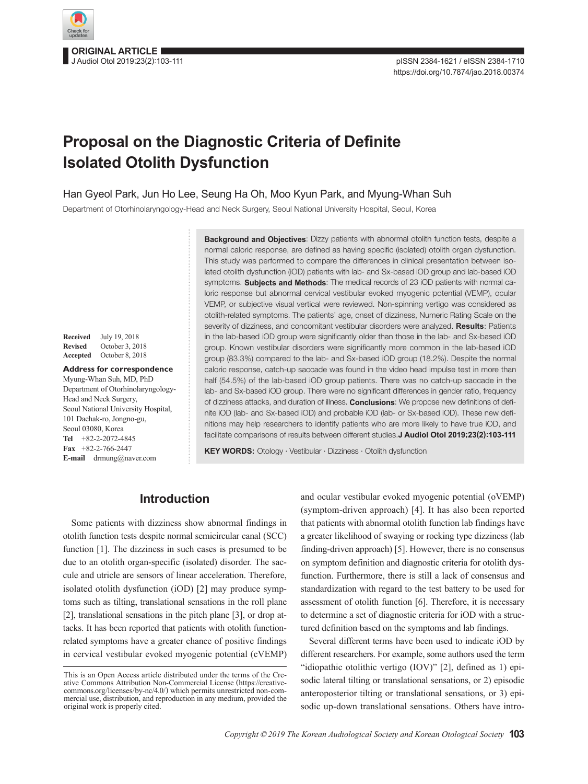

# **Proposal on the Diagnostic Criteria of Definite Isolated Otolith Dysfunction**

Han Gyeol Park, Jun Ho Lee, Seung Ha Oh, Moo Kyun Park, and Myung-Whan Suh

Department of Otorhinolaryngology-Head and Neck Surgery, Seoul National University Hospital, Seoul, Korea

**Received** July 19, 2018 **Revised** October 3, 2018 **Accepted** October 8, 2018

**Address for correspondence**

Myung-Whan Suh, MD, PhD Department of Otorhinolaryngology-Head and Neck Surgery, Seoul National University Hospital, 101 Daehak-ro, Jongno-gu, Seoul 03080, Korea **Tel** +82-2-2072-4845 **Fax** +82-2-766-2447 **E-mail** drmung@naver.com

**Background and Objectives**: Dizzy patients with abnormal otolith function tests, despite a normal caloric response, are defined as having specific (isolated) otolith organ dysfunction. This study was performed to compare the differences in clinical presentation between isolated otolith dysfunction (iOD) patients with lab- and Sx-based iOD group and lab-based iOD symptoms. **Subjects and Methods**: The medical records of 23 iOD patients with normal caloric response but abnormal cervical vestibular evoked myogenic potential (VEMP), ocular VEMP, or subjective visual vertical were reviewed. Non-spinning vertigo was considered as otolith-related symptoms. The patients' age, onset of dizziness, Numeric Rating Scale on the severity of dizziness, and concomitant vestibular disorders were analyzed. **Results**: Patients in the lab-based iOD group were significantly older than those in the lab- and Sx-based iOD group. Known vestibular disorders were significantly more common in the lab-based iOD group (83.3%) compared to the lab- and Sx-based iOD group (18.2%). Despite the normal caloric response, catch-up saccade was found in the video head impulse test in more than half (54.5%) of the lab-based iOD group patients. There was no catch-up saccade in the lab- and Sx-based iOD group. There were no significant differences in gender ratio, frequency of dizziness attacks, and duration of illness. **Conclusions**: We propose new definitions of definite iOD (lab- and Sx-based iOD) and probable iOD (lab- or Sx-based iOD). These new definitions may help researchers to identify patients who are more likely to have true iOD, and facilitate comparisons of results between different studies.**J Audiol Otol 2019;23(2):103-111**

KEY WORDS: Otology · Vestibular · Dizziness · Otolith dysfunction

# **Introduction**

Some patients with dizziness show abnormal findings in otolith function tests despite normal semicircular canal (SCC) function [1]. The dizziness in such cases is presumed to be due to an otolith organ-specific (isolated) disorder. The saccule and utricle are sensors of linear acceleration. Therefore, isolated otolith dysfunction (iOD) [2] may produce symptoms such as tilting, translational sensations in the roll plane [2], translational sensations in the pitch plane [3], or drop attacks. It has been reported that patients with otolith functionrelated symptoms have a greater chance of positive findings in cervical vestibular evoked myogenic potential (cVEMP)

and ocular vestibular evoked myogenic potential (oVEMP) (symptom-driven approach) [4]. It has also been reported that patients with abnormal otolith function lab findings have a greater likelihood of swaying or rocking type dizziness (lab finding-driven approach) [5]. However, there is no consensus on symptom definition and diagnostic criteria for otolith dysfunction. Furthermore, there is still a lack of consensus and standardization with regard to the test battery to be used for assessment of otolith function [6]. Therefore, it is necessary to determine a set of diagnostic criteria for iOD with a structured definition based on the symptoms and lab findings.

Several different terms have been used to indicate iOD by different researchers. For example, some authors used the term "idiopathic otolithic vertigo (IOV)" [2], defined as 1) episodic lateral tilting or translational sensations, or 2) episodic anteroposterior tilting or translational sensations, or 3) episodic up-down translational sensations. Others have intro-

This is an Open Access article distributed under the terms of the Creative Commons Attribution Non-Commercial License (https://creativecommons.org/licenses/by-nc/4.0/) which permits unrestricted non-commercial use, distribution, and reproduction in any medium, provided the original work is properly cited.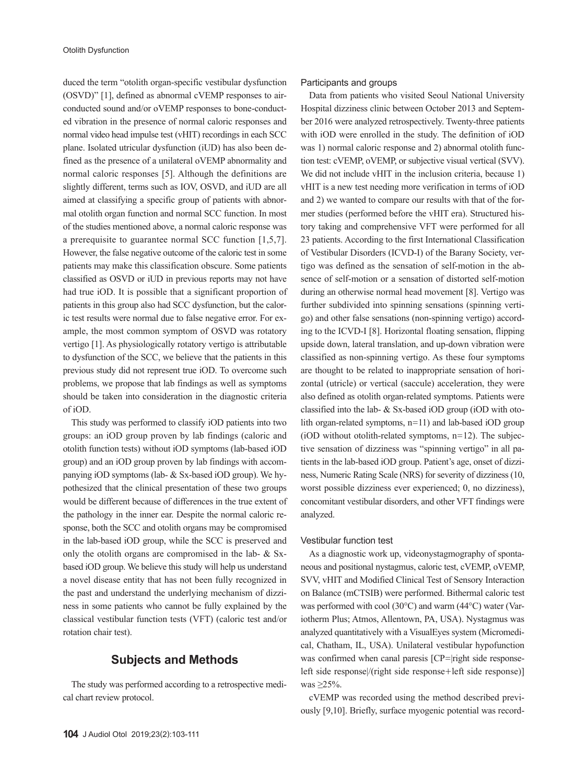duced the term "otolith organ-specific vestibular dysfunction (OSVD)" [1], defined as abnormal cVEMP responses to airconducted sound and/or oVEMP responses to bone-conducted vibration in the presence of normal caloric responses and normal video head impulse test (vHIT) recordings in each SCC plane. Isolated utricular dysfunction (iUD) has also been defined as the presence of a unilateral oVEMP abnormality and normal caloric responses [5]. Although the definitions are slightly different, terms such as IOV, OSVD, and iUD are all aimed at classifying a specific group of patients with abnormal otolith organ function and normal SCC function. In most of the studies mentioned above, a normal caloric response was a prerequisite to guarantee normal SCC function [1,5,7]. However, the false negative outcome of the caloric test in some patients may make this classification obscure. Some patients classified as OSVD or iUD in previous reports may not have had true iOD. It is possible that a significant proportion of patients in this group also had SCC dysfunction, but the caloric test results were normal due to false negative error. For example, the most common symptom of OSVD was rotatory vertigo [1]. As physiologically rotatory vertigo is attributable to dysfunction of the SCC, we believe that the patients in this previous study did not represent true iOD. To overcome such problems, we propose that lab findings as well as symptoms should be taken into consideration in the diagnostic criteria of iOD.

This study was performed to classify iOD patients into two groups: an iOD group proven by lab findings (caloric and otolith function tests) without iOD symptoms (lab-based iOD group) and an iOD group proven by lab findings with accompanying iOD symptoms (lab- & Sx-based iOD group). We hypothesized that the clinical presentation of these two groups would be different because of differences in the true extent of the pathology in the inner ear. Despite the normal caloric response, both the SCC and otolith organs may be compromised in the lab-based iOD group, while the SCC is preserved and only the otolith organs are compromised in the lab- & Sxbased iOD group. We believe this study will help us understand a novel disease entity that has not been fully recognized in the past and understand the underlying mechanism of dizziness in some patients who cannot be fully explained by the classical vestibular function tests (VFT) (caloric test and/or rotation chair test).

## **Subjects and Methods**

The study was performed according to a retrospective medical chart review protocol.

## Participants and groups

Data from patients who visited Seoul National University Hospital dizziness clinic between October 2013 and September 2016 were analyzed retrospectively. Twenty-three patients with iOD were enrolled in the study. The definition of iOD was 1) normal caloric response and 2) abnormal otolith function test: cVEMP, oVEMP, or subjective visual vertical (SVV). We did not include vHIT in the inclusion criteria, because 1) vHIT is a new test needing more verification in terms of iOD and 2) we wanted to compare our results with that of the former studies (performed before the vHIT era). Structured history taking and comprehensive VFT were performed for all 23 patients. According to the first International Classification of Vestibular Disorders (ICVD-I) of the Barany Society, vertigo was defined as the sensation of self-motion in the absence of self-motion or a sensation of distorted self-motion during an otherwise normal head movement [8]. Vertigo was further subdivided into spinning sensations (spinning vertigo) and other false sensations (non-spinning vertigo) according to the ICVD-I [8]. Horizontal floating sensation, flipping upside down, lateral translation, and up-down vibration were classified as non-spinning vertigo. As these four symptoms are thought to be related to inappropriate sensation of horizontal (utricle) or vertical (saccule) acceleration, they were also defined as otolith organ-related symptoms. Patients were classified into the lab- & Sx-based iOD group (iOD with otolith organ-related symptoms, n=11) and lab-based iOD group (iOD without otolith-related symptoms,  $n=12$ ). The subjective sensation of dizziness was "spinning vertigo" in all patients in the lab-based iOD group. Patient's age, onset of dizziness, Numeric Rating Scale (NRS) for severity of dizziness (10, worst possible dizziness ever experienced; 0, no dizziness), concomitant vestibular disorders, and other VFT findings were analyzed.

### Vestibular function test

As a diagnostic work up, videonystagmography of spontaneous and positional nystagmus, caloric test, cVEMP, oVEMP, SVV, vHIT and Modified Clinical Test of Sensory Interaction on Balance (mCTSIB) were performed. Bithermal caloric test was performed with cool (30°C) and warm (44°C) water (Variotherm Plus; Atmos, Allentown, PA, USA). Nystagmus was analyzed quantitatively with a VisualEyes system (Micromedical, Chatham, IL, USA). Unilateral vestibular hypofunction was confirmed when canal paresis [CP=|right side responseleft side response|/(right side response+left side response)] was  $\geq$ 25%.

cVEMP was recorded using the method described previously [9,10]. Briefly, surface myogenic potential was record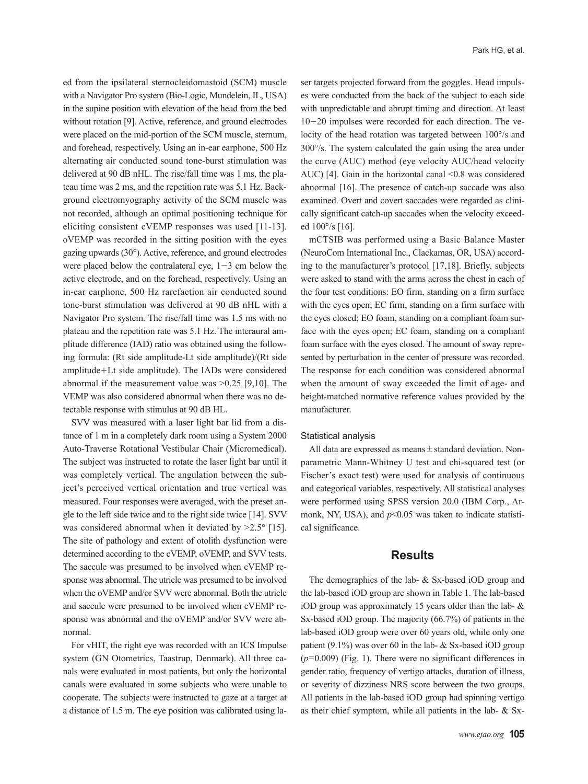ed from the ipsilateral sternocleidomastoid (SCM) muscle with a Navigator Pro system (Bio-Logic, Mundelein, IL, USA) in the supine position with elevation of the head from the bed without rotation [9]. Active, reference, and ground electrodes were placed on the mid-portion of the SCM muscle, sternum, and forehead, respectively. Using an in-ear earphone, 500 Hz alternating air conducted sound tone-burst stimulation was delivered at 90 dB nHL. The rise/fall time was 1 ms, the plateau time was 2 ms, and the repetition rate was 5.1 Hz. Background electromyography activity of the SCM muscle was not recorded, although an optimal positioning technique for eliciting consistent cVEMP responses was used [11-13]. oVEMP was recorded in the sitting position with the eyes gazing upwards (30°). Active, reference, and ground electrodes were placed below the contralateral eye,  $1-3$  cm below the active electrode, and on the forehead, respectively. Using an in-ear earphone, 500 Hz rarefaction air conducted sound tone-burst stimulation was delivered at 90 dB nHL with a Navigator Pro system. The rise/fall time was 1.5 ms with no plateau and the repetition rate was 5.1 Hz. The interaural amplitude difference (IAD) ratio was obtained using the following formula: (Rt side amplitude-Lt side amplitude)/(Rt side amplitude+Lt side amplitude). The IADs were considered abnormal if the measurement value was >0.25 [9,10]. The VEMP was also considered abnormal when there was no detectable response with stimulus at 90 dB HL.

SVV was measured with a laser light bar lid from a distance of 1 m in a completely dark room using a System 2000 Auto-Traverse Rotational Vestibular Chair (Micromedical). The subject was instructed to rotate the laser light bar until it was completely vertical. The angulation between the subject's perceived vertical orientation and true vertical was measured. Four responses were averaged, with the preset angle to the left side twice and to the right side twice [14]. SVV was considered abnormal when it deviated by  $>2.5^{\circ}$  [15]. The site of pathology and extent of otolith dysfunction were determined according to the cVEMP, oVEMP, and SVV tests. The saccule was presumed to be involved when cVEMP response was abnormal. The utricle was presumed to be involved when the oVEMP and/or SVV were abnormal. Both the utricle and saccule were presumed to be involved when cVEMP response was abnormal and the oVEMP and/or SVV were abnormal.

For vHIT, the right eye was recorded with an ICS Impulse system (GN Otometrics, Taastrup, Denmark). All three canals were evaluated in most patients, but only the horizontal canals were evaluated in some subjects who were unable to cooperate. The subjects were instructed to gaze at a target at a distance of 1.5 m. The eye position was calibrated using la-

ser targets projected forward from the goggles. Head impulses were conducted from the back of the subject to each side with unpredictable and abrupt timing and direction. At least 10-20 impulses were recorded for each direction. The velocity of the head rotation was targeted between 100°/s and 300°/s. The system calculated the gain using the area under the curve (AUC) method (eye velocity AUC/head velocity AUC) [4]. Gain in the horizontal canal <0.8 was considered abnormal [16]. The presence of catch-up saccade was also examined. Overt and covert saccades were regarded as clinically significant catch-up saccades when the velocity exceeded 100°/s [16].

mCTSIB was performed using a Basic Balance Master (NeuroCom International Inc., Clackamas, OR, USA) according to the manufacturer's protocol [17,18]. Briefly, subjects were asked to stand with the arms across the chest in each of the four test conditions: EO firm, standing on a firm surface with the eyes open; EC firm, standing on a firm surface with the eyes closed; EO foam, standing on a compliant foam surface with the eyes open; EC foam, standing on a compliant foam surface with the eyes closed. The amount of sway represented by perturbation in the center of pressure was recorded. The response for each condition was considered abnormal when the amount of sway exceeded the limit of age- and height-matched normative reference values provided by the manufacturer.

#### Statistical analysis

All data are expressed as means±standard deviation. Nonparametric Mann-Whitney U test and chi-squared test (or Fischer's exact test) were used for analysis of continuous and categorical variables, respectively. All statistical analyses were performed using SPSS version 20.0 (IBM Corp., Armonk, NY, USA), and  $p<0.05$  was taken to indicate statistical significance.

## **Results**

The demographics of the lab- & Sx-based iOD group and the lab-based iOD group are shown in Table 1. The lab-based iOD group was approximately 15 years older than the lab- & Sx-based iOD group. The majority (66.7%) of patients in the lab-based iOD group were over 60 years old, while only one patient  $(9.1\%)$  was over 60 in the lab-  $\&$  Sx-based iOD group (*p*=0.009) (Fig. 1). There were no significant differences in gender ratio, frequency of vertigo attacks, duration of illness, or severity of dizziness NRS score between the two groups. All patients in the lab-based iOD group had spinning vertigo as their chief symptom, while all patients in the lab- & Sx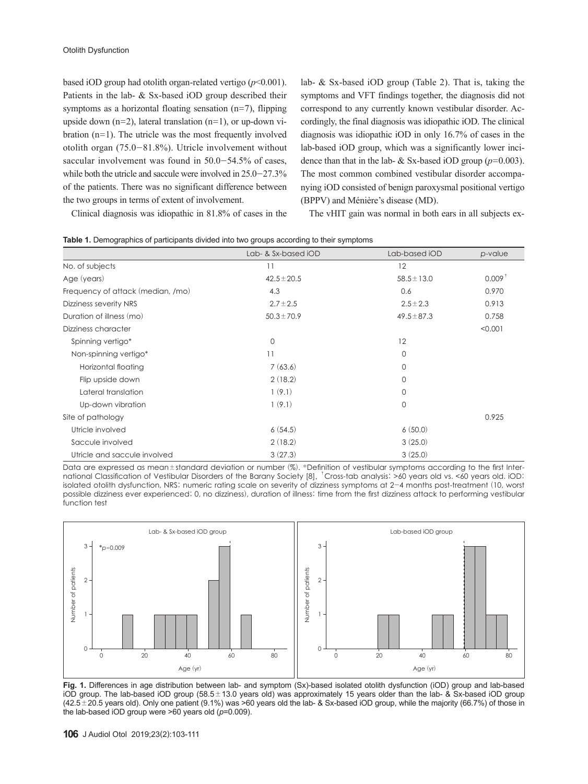based iOD group had otolith organ-related vertigo (*p*<0.001). Patients in the lab- & Sx-based iOD group described their symptoms as a horizontal floating sensation  $(n=7)$ , flipping upside down  $(n=2)$ , lateral translation  $(n=1)$ , or up-down vibration (n=1). The utricle was the most frequently involved otolith organ (75.0-81.8%). Utricle involvement without saccular involvement was found in 50.0-54.5% of cases, while both the utricle and saccule were involved in  $25.0-27.3\%$ of the patients. There was no significant difference between the two groups in terms of extent of involvement.

lab- & Sx-based iOD group (Table 2). That is, taking the symptoms and VFT findings together, the diagnosis did not correspond to any currently known vestibular disorder. Accordingly, the final diagnosis was idiopathic iOD. The clinical diagnosis was idiopathic iOD in only 16.7% of cases in the lab-based iOD group, which was a significantly lower incidence than that in the lab-  $&$  Sx-based iOD group ( $p=0.003$ ). The most common combined vestibular disorder accompanying iOD consisted of benign paroxysmal positional vertigo (BPPV) and Ménière's disease (MD).

Clinical diagnosis was idiopathic in 81.8% of cases in the

The vHIT gain was normal in both ears in all subjects ex-

| <b>Table 1.</b> Demographics of participants divided into two groups according to their symptoms |                     |                 |                   |
|--------------------------------------------------------------------------------------------------|---------------------|-----------------|-------------------|
|                                                                                                  | Lab- & Sx-based iOD | Lab-based iOD   | p-value           |
| No. of subjects                                                                                  | 11                  | 12              |                   |
| Age (years)                                                                                      | $42.5 \pm 20.5$     | $58.5 \pm 13.0$ | $0.009^{\dagger}$ |
| Frequency of attack (median, /mo)                                                                | 4.3                 | 0.6             | 0.970             |
| Dizziness severity NRS                                                                           | $2.7 \pm 2.5$       | $2.5 \pm 2.3$   | 0.913             |
| Duration of illness (mo)                                                                         | $50.3 \pm 70.9$     | $49.5 \pm 87.3$ | 0.758             |
| Dizziness character                                                                              |                     |                 | < 0.001           |
| Spinning vertigo*                                                                                | $\Omega$            | 12              |                   |
| Non-spinning vertigo*                                                                            | 11                  | 0               |                   |
| Horizontal floating                                                                              | 7(63.6)             | $\Omega$        |                   |
| Flip upside down                                                                                 | 2(18.2)             | 0               |                   |
| Lateral translation                                                                              | 1(9.1)              | 0               |                   |
| Up-down vibration                                                                                | 1(9.1)              | $\mathbf{0}$    |                   |
| Site of pathology                                                                                |                     |                 | 0.925             |
| Utricle involved                                                                                 | 6(54.5)             | 6(50.0)         |                   |
| Saccule involved                                                                                 | 2(18.2)             | 3(25.0)         |                   |
| Utricle and saccule involved                                                                     | 3(27.3)             | 3(25.0)         |                   |

Data are expressed as mean±standard deviation or number (%). \*Definition of vestibular symptoms according to the first International Classification of Vestibular Disorders of the Barany Society [8], †Cross-tab analysis: >60 years old vs. <60 years old. iOD: isolated otolith dysfunction, NRS: numeric rating scale on severity of dizziness symptoms at 2-4 months post-treatment (10, worst possible dizziness ever experienced; 0, no dizziness), duration of illness: time from the first dizziness attack to performing vestibular function test



**Fig. 1.** Differences in age distribution between lab- and symptom (Sx)-based isolated otolith dysfunction (iOD) group and lab-based iOD group. The lab-based iOD group (58.5 $\pm$ 13.0 years old) was approximately 15 years older than the lab- & Sx-based iOD group  $(42.5\pm20.5$  years old). Only one patient (9.1%) was >60 years old the lab- & Sx-based iOD group, while the majority (66.7%) of those in the lab-based iOD group were >60 years old (*p*=0.009).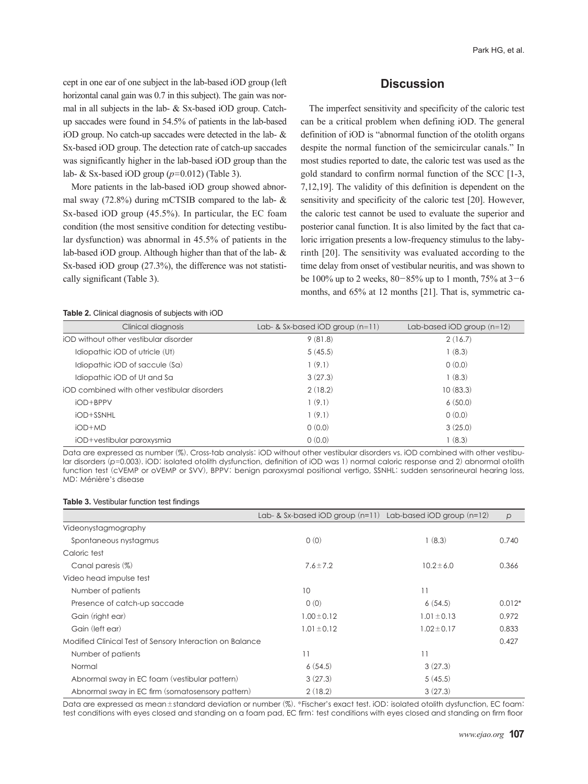cept in one ear of one subject in the lab-based iOD group (left horizontal canal gain was 0.7 in this subject). The gain was normal in all subjects in the lab- & Sx-based iOD group. Catchup saccades were found in 54.5% of patients in the lab-based iOD group. No catch-up saccades were detected in the lab- & Sx-based iOD group. The detection rate of catch-up saccades was significantly higher in the lab-based iOD group than the lab- & Sx-based iOD group (*p*=0.012) (Table 3).

More patients in the lab-based iOD group showed abnormal sway (72.8%) during mCTSIB compared to the lab- & Sx-based iOD group (45.5%). In particular, the EC foam condition (the most sensitive condition for detecting vestibular dysfunction) was abnormal in 45.5% of patients in the lab-based iOD group. Although higher than that of the lab- & Sx-based iOD group (27.3%), the difference was not statistically significant (Table 3).

**Table 2.** Clinical diagnosis of subjects with iOD

# **Discussion**

The imperfect sensitivity and specificity of the caloric test can be a critical problem when defining iOD. The general definition of iOD is "abnormal function of the otolith organs despite the normal function of the semicircular canals." In most studies reported to date, the caloric test was used as the gold standard to confirm normal function of the SCC [1-3, 7,12,19]. The validity of this definition is dependent on the sensitivity and specificity of the caloric test [20]. However, the caloric test cannot be used to evaluate the superior and posterior canal function. It is also limited by the fact that caloric irrigation presents a low-frequency stimulus to the labyrinth [20]. The sensitivity was evaluated according to the time delay from onset of vestibular neuritis, and was shown to be 100% up to 2 weeks, 80-85% up to 1 month, 75% at 3-6 months, and 65% at 12 months [21]. That is, symmetric ca-

| Clinical diagnosis                           | Lab- & Sx-based iOD group $(n=11)$ | Lab-based iOD group $(n=12)$ |
|----------------------------------------------|------------------------------------|------------------------------|
| iOD without other vestibular disorder        | 9(81.8)                            | 2(16.7)                      |
| Idiopathic iOD of utricle (Ut)               | 5(45.5)                            | 1(8.3)                       |
| Idiopathic iOD of saccule (Sa)               | 1(9.1)                             | 0(0.0)                       |
| Idiopathic iOD of Ut and Sa                  | 3(27.3)                            | 1(8.3)                       |
| iOD combined with other vestibular disorders | 2(18.2)                            | 10(83.3)                     |
| iOD+BPPV                                     | 1(9.1)                             | 6(50.0)                      |
| iOD+SSNHL                                    | 1(9.1)                             | 0(0.0)                       |
| $IOD+MD$                                     | 0(0.0)                             | 3(25.0)                      |
| iOD+vestibular paroxysmia                    | 0(0.0)                             | 1(8.3)                       |

Data are expressed as number (%). Cross-tab analysis: iOD without other vestibular disorders vs. iOD combined with other vestibular disorders (*p*=0.003). iOD: isolated otolith dysfunction, definition of iOD was 1) normal caloric response and 2) abnormal otolith function test (cVEMP or oVEMP or SVV), BPPV: benign paroxysmal positional vertigo, SSNHL: sudden sensorineural hearing loss, MD: Ménière's disease

#### **Table 3.** Vestibular function test findings

|                                                          | Lab- & Sx-based iOD group $(n=11)$ Lab-based iOD group $(n=12)$ |                 | $\mathcal{D}$ |
|----------------------------------------------------------|-----------------------------------------------------------------|-----------------|---------------|
| Videonystagmography                                      |                                                                 |                 |               |
| Spontaneous nystagmus                                    | 0(0)                                                            | 1(8.3)          | 0.740         |
| Caloric test                                             |                                                                 |                 |               |
| Canal paresis (%)                                        | $7.6 \pm 7.2$                                                   | $10.2 \pm 6.0$  | 0.366         |
| Video head impulse test                                  |                                                                 |                 |               |
| Number of patients                                       | 10                                                              | $\overline{11}$ |               |
| Presence of catch-up saccade                             | 0(0)                                                            | 6(54.5)         | $0.012*$      |
| Gain (right ear)                                         | $1.00 \pm 0.12$                                                 | $1.01 \pm 0.13$ | 0.972         |
| Gain (left ear)                                          | $1.01 \pm 0.12$                                                 | $1.02 \pm 0.17$ | 0.833         |
| Modified Clinical Test of Sensory Interaction on Balance |                                                                 |                 | 0.427         |
| Number of patients                                       | 11                                                              | 11              |               |
| Normal                                                   | 6(54.5)                                                         | 3(27.3)         |               |
| Abnormal sway in EC foam (vestibular pattern)            | 3(27.3)                                                         | 5(45.5)         |               |
| Abnormal sway in EC firm (somatosensory pattern)         | 2(18.2)                                                         | 3(27.3)         |               |

Data are expressed as mean±standard deviation or number (%). \*Fischer's exact test. iOD: isolated otolith dysfunction, EC foam: test conditions with eyes closed and standing on a foam pad, EC firm: test conditions with eyes closed and standing on firm floor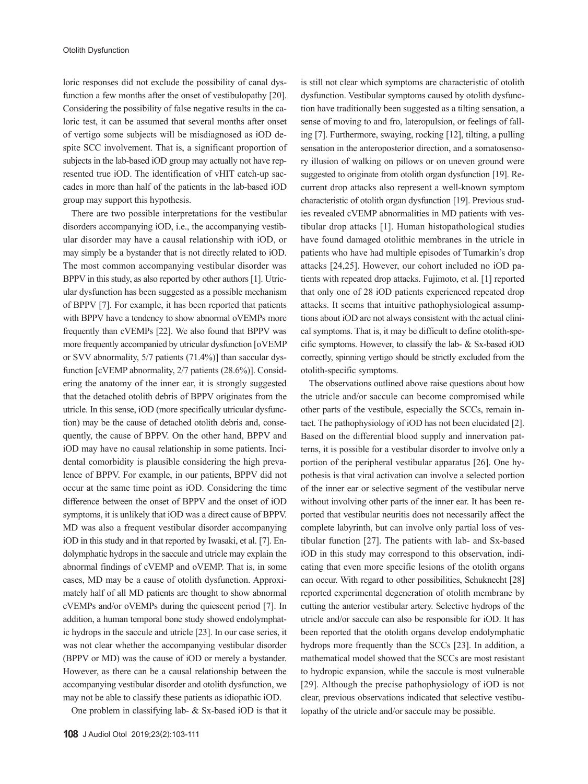loric responses did not exclude the possibility of canal dysfunction a few months after the onset of vestibulopathy [20]. Considering the possibility of false negative results in the caloric test, it can be assumed that several months after onset of vertigo some subjects will be misdiagnosed as iOD despite SCC involvement. That is, a significant proportion of subjects in the lab-based iOD group may actually not have represented true iOD. The identification of vHIT catch-up saccades in more than half of the patients in the lab-based iOD group may support this hypothesis.

There are two possible interpretations for the vestibular disorders accompanying iOD, i.e., the accompanying vestibular disorder may have a causal relationship with iOD, or may simply be a bystander that is not directly related to iOD. The most common accompanying vestibular disorder was BPPV in this study, as also reported by other authors [1]. Utricular dysfunction has been suggested as a possible mechanism of BPPV [7]. For example, it has been reported that patients with BPPV have a tendency to show abnormal oVEMPs more frequently than cVEMPs [22]. We also found that BPPV was more frequently accompanied by utricular dysfunction [oVEMP or SVV abnormality, 5/7 patients (71.4%)] than saccular dysfunction [cVEMP abnormality, 2/7 patients (28.6%)]. Considering the anatomy of the inner ear, it is strongly suggested that the detached otolith debris of BPPV originates from the utricle. In this sense, iOD (more specifically utricular dysfunction) may be the cause of detached otolith debris and, consequently, the cause of BPPV. On the other hand, BPPV and iOD may have no causal relationship in some patients. Incidental comorbidity is plausible considering the high prevalence of BPPV. For example, in our patients, BPPV did not occur at the same time point as iOD. Considering the time difference between the onset of BPPV and the onset of iOD symptoms, it is unlikely that iOD was a direct cause of BPPV. MD was also a frequent vestibular disorder accompanying iOD in this study and in that reported by Iwasaki, et al. [7]. Endolymphatic hydrops in the saccule and utricle may explain the abnormal findings of cVEMP and oVEMP. That is, in some cases, MD may be a cause of otolith dysfunction. Approximately half of all MD patients are thought to show abnormal cVEMPs and/or oVEMPs during the quiescent period [7]. In addition, a human temporal bone study showed endolymphatic hydrops in the saccule and utricle [23]. In our case series, it was not clear whether the accompanying vestibular disorder (BPPV or MD) was the cause of iOD or merely a bystander. However, as there can be a causal relationship between the accompanying vestibular disorder and otolith dysfunction, we may not be able to classify these patients as idiopathic iOD.

One problem in classifying lab- & Sx-based iOD is that it

is still not clear which symptoms are characteristic of otolith dysfunction. Vestibular symptoms caused by otolith dysfunction have traditionally been suggested as a tilting sensation, a sense of moving to and fro, lateropulsion, or feelings of falling [7]. Furthermore, swaying, rocking [12], tilting, a pulling sensation in the anteroposterior direction, and a somatosensory illusion of walking on pillows or on uneven ground were suggested to originate from otolith organ dysfunction [19]. Recurrent drop attacks also represent a well-known symptom characteristic of otolith organ dysfunction [19]. Previous studies revealed cVEMP abnormalities in MD patients with vestibular drop attacks [1]. Human histopathological studies have found damaged otolithic membranes in the utricle in patients who have had multiple episodes of Tumarkin's drop attacks [24,25]. However, our cohort included no iOD patients with repeated drop attacks. Fujimoto, et al. [1] reported that only one of 28 iOD patients experienced repeated drop attacks. It seems that intuitive pathophysiological assumptions about iOD are not always consistent with the actual clinical symptoms. That is, it may be difficult to define otolith-specific symptoms. However, to classify the lab- & Sx-based iOD correctly, spinning vertigo should be strictly excluded from the otolith-specific symptoms.

The observations outlined above raise questions about how the utricle and/or saccule can become compromised while other parts of the vestibule, especially the SCCs, remain intact. The pathophysiology of iOD has not been elucidated [2]. Based on the differential blood supply and innervation patterns, it is possible for a vestibular disorder to involve only a portion of the peripheral vestibular apparatus [26]. One hypothesis is that viral activation can involve a selected portion of the inner ear or selective segment of the vestibular nerve without involving other parts of the inner ear. It has been reported that vestibular neuritis does not necessarily affect the complete labyrinth, but can involve only partial loss of vestibular function [27]. The patients with lab- and Sx-based iOD in this study may correspond to this observation, indicating that even more specific lesions of the otolith organs can occur. With regard to other possibilities, Schuknecht [28] reported experimental degeneration of otolith membrane by cutting the anterior vestibular artery. Selective hydrops of the utricle and/or saccule can also be responsible for iOD. It has been reported that the otolith organs develop endolymphatic hydrops more frequently than the SCCs [23]. In addition, a mathematical model showed that the SCCs are most resistant to hydropic expansion, while the saccule is most vulnerable [29]. Although the precise pathophysiology of iOD is not clear, previous observations indicated that selective vestibulopathy of the utricle and/or saccule may be possible.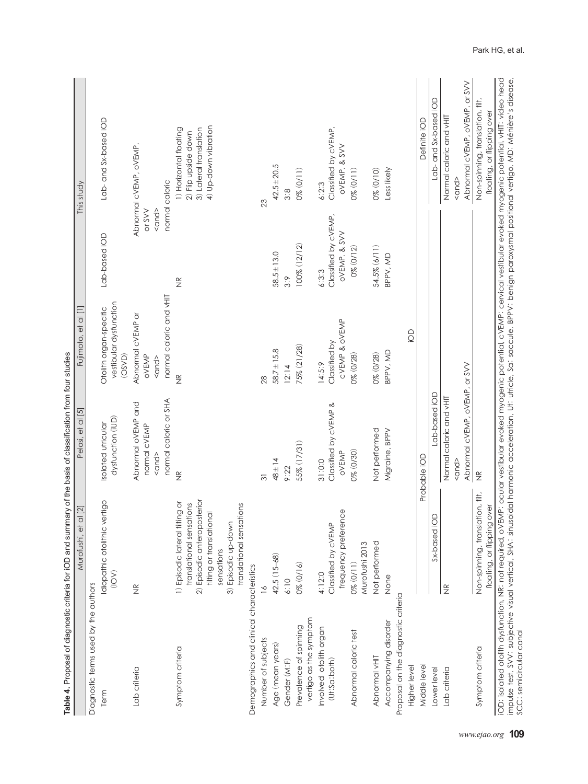|                                                     | Murofushi, et al [2]                                                                                                                                                                   | Pelosi, et al [5]                                                          | Fujimoto, et al [1]                                                  |                                      | This study                                                                                      |
|-----------------------------------------------------|----------------------------------------------------------------------------------------------------------------------------------------------------------------------------------------|----------------------------------------------------------------------------|----------------------------------------------------------------------|--------------------------------------|-------------------------------------------------------------------------------------------------|
| Diagnostic terms used by the authors                |                                                                                                                                                                                        |                                                                            |                                                                      |                                      |                                                                                                 |
| Term                                                | Idiopathic otolithic vertigo<br>$\sum_{i=1}^{\infty}$                                                                                                                                  | dysfunction (iUD)<br>Isolated utricular                                    | vestibular dysfunction<br>Otolith organ-specific<br>(OSVD)           | Lab-based iOD                        | Lab-and Sx-based iOD                                                                            |
| Lab criteria                                        | $\frac{\alpha}{2}$                                                                                                                                                                     | normal caloric or SHA<br>Abnormal oVEMP and<br>normal cVEMP<br><and></and> | normal caloric and vHIT<br>Abnormal cVEMP or<br>OVEMP<br><and></and> | or SVV<br>$\leq$                     | Abnormal cVEMP, oVEMP,<br>normal caloric                                                        |
| Symptom criteria                                    | 2) Episodic anteroposterior<br>1) Episodic lateral tilting or<br>translational sensations<br>translational sensations<br>filting or translational<br>3) Episodic up-down<br>sensations | $\frac{\alpha}{2}$                                                         | $\frac{\alpha}{2}$                                                   | $\frac{\alpha}{2}$                   | 4) Up-down vibration<br>1) Horizontal floating<br>3) Lateral translation<br>2) Flip upside down |
| Demographics and clinical characteristics           |                                                                                                                                                                                        |                                                                            |                                                                      |                                      |                                                                                                 |
| Number of subjects                                  | $\geq$                                                                                                                                                                                 | 51                                                                         | 28                                                                   |                                      | 23                                                                                              |
| Age (mean years)                                    | $42.5(15-68)$                                                                                                                                                                          | $48 \pm 14$                                                                | $58.7 \pm 15.8$                                                      | $58.5 \pm 13.0$                      | $42.5 \pm 20.5$                                                                                 |
| Gender (M:F)                                        | 6:10                                                                                                                                                                                   | 9:22                                                                       | 12:14                                                                | 3:9                                  | 3:8                                                                                             |
| vertigo as the symptom<br>Prevalence of spinning    | 0% (0/16)                                                                                                                                                                              | 55% (17/31)                                                                | 75% (21/28)                                                          | 100% (12/12)                         | 0% (0/11)                                                                                       |
| Involved otolith organ                              | 4:12:0                                                                                                                                                                                 | 31:0:0                                                                     | 14:5:9                                                               | 6:3:3                                | 6:2:3                                                                                           |
| $(Ut:S$ a:both $)$                                  | frequency preference<br>Classified by cVEMP                                                                                                                                            | Classified by cVEMP &<br>OVEMP                                             | CVEMP & OVEMP<br>Classified by                                       | Classified by cVEMP,<br>OVEMP, & SVV | Classified by cVEMP,<br>OVEMP, & SVV                                                            |
| Abnormal caloric test                               | Murofushi 2013<br>0% (0/11)                                                                                                                                                            | 0% (0/30)                                                                  | 0% (0/28)                                                            | 0% (0/12)                            | 0% (0/11)                                                                                       |
| Abnormal vHIT                                       | Not performed                                                                                                                                                                          | Not performed                                                              | 0% (0/28)                                                            | 54.5% (6/11)                         | 0% (0/10)                                                                                       |
| Accompanying disorder                               | None                                                                                                                                                                                   | Migraine, BPPV                                                             | BPPV, MD                                                             | BPPV, MD                             | Less likely                                                                                     |
| Proposal on the diagnostic criteria<br>Higher level |                                                                                                                                                                                        |                                                                            | $\overline{O}$                                                       |                                      |                                                                                                 |
| Middle level                                        |                                                                                                                                                                                        | Probable iOD                                                               |                                                                      |                                      | Definite iOD                                                                                    |
| Lower level                                         | Sx-based iOD                                                                                                                                                                           | Lab-based iOD                                                              |                                                                      |                                      | Lab-and Sx-based iOD                                                                            |
| Lab criteria                                        | $\frac{\alpha}{2}$                                                                                                                                                                     | Normal caloric and vHIT                                                    |                                                                      |                                      | Normal caloric and vHIT                                                                         |
|                                                     |                                                                                                                                                                                        | Abnormal cVEMP, oVEMP, or SVV<br><and></and>                               |                                                                      |                                      | Abnormal cVEMP, oVEMP, or SVV<br>$\frac{1}{2}$                                                  |
| Symptom criteria                                    | Non-spinning, translation, tilt,                                                                                                                                                       | $\frac{\alpha}{2}$                                                         |                                                                      |                                      | Non-spinning, translation, tilt,                                                                |
|                                                     | floating, or flipping over                                                                                                                                                             |                                                                            |                                                                      |                                      | floating, or flipping over                                                                      |

*www.ejao.org* **109**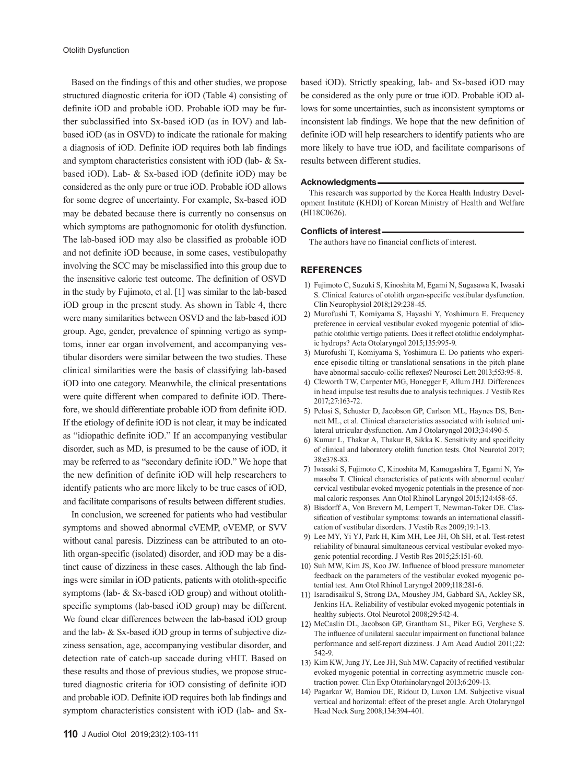Based on the findings of this and other studies, we propose structured diagnostic criteria for iOD (Table 4) consisting of definite iOD and probable iOD. Probable iOD may be further subclassified into Sx-based iOD (as in IOV) and labbased iOD (as in OSVD) to indicate the rationale for making a diagnosis of iOD. Definite iOD requires both lab findings and symptom characteristics consistent with iOD (lab- & Sxbased iOD). Lab- & Sx-based iOD (definite iOD) may be considered as the only pure or true iOD. Probable iOD allows for some degree of uncertainty. For example, Sx-based iOD may be debated because there is currently no consensus on which symptoms are pathognomonic for otolith dysfunction. The lab-based iOD may also be classified as probable iOD and not definite iOD because, in some cases, vestibulopathy involving the SCC may be misclassified into this group due to the insensitive caloric test outcome. The definition of OSVD in the study by Fujimoto, et al. [1] was similar to the lab-based iOD group in the present study. As shown in Table 4, there were many similarities between OSVD and the lab-based iOD group. Age, gender, prevalence of spinning vertigo as symptoms, inner ear organ involvement, and accompanying vestibular disorders were similar between the two studies. These clinical similarities were the basis of classifying lab-based iOD into one category. Meanwhile, the clinical presentations were quite different when compared to definite iOD. Therefore, we should differentiate probable iOD from definite iOD. If the etiology of definite iOD is not clear, it may be indicated as "idiopathic definite iOD." If an accompanying vestibular disorder, such as MD, is presumed to be the cause of iOD, it may be referred to as "secondary definite iOD." We hope that the new definition of definite iOD will help researchers to identify patients who are more likely to be true cases of iOD, and facilitate comparisons of results between different studies.

In conclusion, we screened for patients who had vestibular symptoms and showed abnormal cVEMP, oVEMP, or SVV without canal paresis. Dizziness can be attributed to an otolith organ-specific (isolated) disorder, and iOD may be a distinct cause of dizziness in these cases. Although the lab findings were similar in iOD patients, patients with otolith-specific symptoms (lab-  $&$  Sx-based iOD group) and without otolithspecific symptoms (lab-based iOD group) may be different. We found clear differences between the lab-based iOD group and the lab- & Sx-based iOD group in terms of subjective dizziness sensation, age, accompanying vestibular disorder, and detection rate of catch-up saccade during vHIT. Based on these results and those of previous studies, we propose structured diagnostic criteria for iOD consisting of definite iOD and probable iOD. Definite iOD requires both lab findings and symptom characteristics consistent with iOD (lab- and Sxbased iOD). Strictly speaking, lab- and Sx-based iOD may be considered as the only pure or true iOD. Probable iOD allows for some uncertainties, such as inconsistent symptoms or inconsistent lab findings. We hope that the new definition of definite iOD will help researchers to identify patients who are more likely to have true iOD, and facilitate comparisons of results between different studies.

#### **Acknowledgments**

This research was supported by the Korea Health Industry Development Institute (KHDI) of Korean Ministry of Health and Welfare (HI18C0626).

#### **Conflicts of interest**

The authors have no financial conflicts of interest.

## **REFERENCES**

- 1) Fujimoto C, Suzuki S, Kinoshita M, Egami N, Sugasawa K, Iwasaki S. Clinical features of otolith organ-specific vestibular dysfunction. Clin Neurophysiol 2018;129:238-45.
- 2) Murofushi T, Komiyama S, Hayashi Y, Yoshimura E. Frequency preference in cervical vestibular evoked myogenic potential of idiopathic otolithic vertigo patients. Does it reflect otolithic endolymphatic hydrops? Acta Otolaryngol 2015;135:995-9.
- 3) Murofushi T, Komiyama S, Yoshimura E. Do patients who experience episodic tilting or translational sensations in the pitch plane have abnormal sacculo-collic reflexes? Neurosci Lett 2013;553:95-8.
- 4) Cleworth TW, Carpenter MG, Honegger F, Allum JHJ. Differences in head impulse test results due to analysis techniques. J Vestib Res 2017;27:163-72.
- 5) Pelosi S, Schuster D, Jacobson GP, Carlson ML, Haynes DS, Bennett ML, et al. Clinical characteristics associated with isolated unilateral utricular dysfunction. Am J Otolaryngol 2013;34:490-5.
- 6) Kumar L, Thakar A, Thakur B, Sikka K. Sensitivity and specificity of clinical and laboratory otolith function tests. Otol Neurotol 2017; 38:e378-83.
- 7) Iwasaki S, Fujimoto C, Kinoshita M, Kamogashira T, Egami N, Yamasoba T. Clinical characteristics of patients with abnormal ocular/ cervical vestibular evoked myogenic potentials in the presence of normal caloric responses. Ann Otol Rhinol Laryngol 2015;124:458-65.
- 8) Bisdorff A, Von Brevern M, Lempert T, Newman-Toker DE. Classification of vestibular symptoms: towards an international classification of vestibular disorders. J Vestib Res 2009;19:1-13.
- 9) Lee MY, Yi YJ, Park H, Kim MH, Lee JH, Oh SH, et al. Test-retest reliability of binaural simultaneous cervical vestibular evoked myogenic potential recording. J Vestib Res 2015;25:151-60.
- 10) Suh MW, Kim JS, Koo JW. Influence of blood pressure manometer feedback on the parameters of the vestibular evoked myogenic potential test. Ann Otol Rhinol Laryngol 2009;118:281-6.
- 11) Isaradisaikul S, Strong DA, Moushey JM, Gabbard SA, Ackley SR, Jenkins HA. Reliability of vestibular evoked myogenic potentials in healthy subjects. Otol Neurotol 2008;29:542-4.
- 12) McCaslin DL, Jacobson GP, Grantham SL, Piker EG, Verghese S. The influence of unilateral saccular impairment on functional balance performance and self-report dizziness. J Am Acad Audiol 2011;22: 542-9.
- 13) Kim KW, Jung JY, Lee JH, Suh MW. Capacity of rectified vestibular evoked myogenic potential in correcting asymmetric muscle contraction power. Clin Exp Otorhinolaryngol 2013;6:209-13.
- 14) Pagarkar W, Bamiou DE, Ridout D, Luxon LM. Subjective visual vertical and horizontal: effect of the preset angle. Arch Otolaryngol Head Neck Surg 2008;134:394-401.